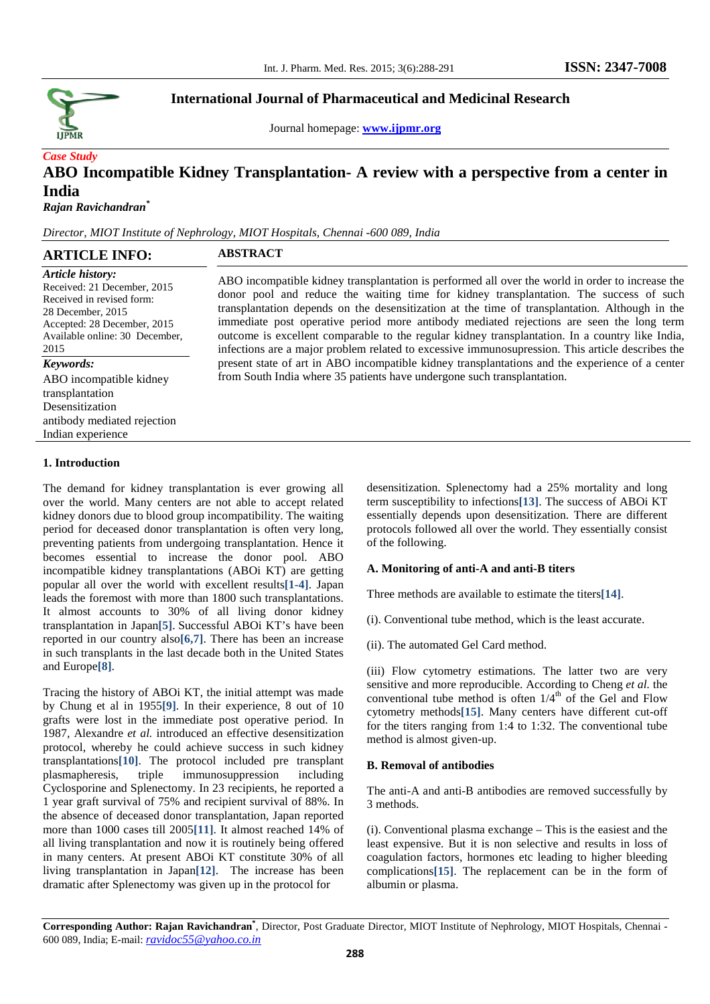

Journal homepage: **www.ijpmr.org**

# *Case Study*  **ABO Incompatible Kidney Transplantation- A review with a perspective from a center in India**

*Rajan Ravichandran\**

*Director, MIOT Institute of Nephrology, MIOT Hospitals, Chennai -600 089, India* 

| <b>ARTICLE INFO:</b>                                                                                                                                                       | <b>ABSTRACT</b>                                                                                                                                                                                                                                                                                                                                                                                                                                                                                                                                                                                 |
|----------------------------------------------------------------------------------------------------------------------------------------------------------------------------|-------------------------------------------------------------------------------------------------------------------------------------------------------------------------------------------------------------------------------------------------------------------------------------------------------------------------------------------------------------------------------------------------------------------------------------------------------------------------------------------------------------------------------------------------------------------------------------------------|
| Article history:<br>Received: 21 December, 2015<br>Received in revised form:<br>28 December, 2015<br>Accepted: 28 December, 2015<br>Available online: 30 December,<br>2015 | ABO incompatible kidney transplantation is performed all over the world in order to increase the<br>donor pool and reduce the waiting time for kidney transplantation. The success of such<br>transplantation depends on the desensitization at the time of transplantation. Although in the<br>immediate post operative period more antibody mediated rejections are seen the long term<br>outcome is excellent comparable to the regular kidney transplantation. In a country like India,<br>infections are a major problem related to excessive immunosupression. This article describes the |
| Keywords:                                                                                                                                                                  | present state of art in ABO incompatible kidney transplantations and the experience of a center                                                                                                                                                                                                                                                                                                                                                                                                                                                                                                 |
| ABO incompatible kidney<br>transplantation<br>Desensitization                                                                                                              | from South India where 35 patients have undergone such transplantation.                                                                                                                                                                                                                                                                                                                                                                                                                                                                                                                         |
| antibody mediated rejection                                                                                                                                                |                                                                                                                                                                                                                                                                                                                                                                                                                                                                                                                                                                                                 |
| Indian experience                                                                                                                                                          |                                                                                                                                                                                                                                                                                                                                                                                                                                                                                                                                                                                                 |

# **1. Introduction**

The demand for kidney transplantation is ever growing all over the world. Many centers are not able to accept related kidney donors due to blood group incompatibility. The waiting period for deceased donor transplantation is often very long, preventing patients from undergoing transplantation. Hence it becomes essential to increase the donor pool. ABO incompatible kidney transplantations (ABOi KT) are getting popular all over the world with excellent results**[1-4]**. Japan leads the foremost with more than 1800 such transplantations. It almost accounts to 30% of all living donor kidney transplantation in Japan**[5]**. Successful ABOi KT's have been reported in our country also**[6,7]**. There has been an increase in such transplants in the last decade both in the United States and Europe**[8]**.

Tracing the history of ABOi KT, the initial attempt was made by Chung et al in 1955**[9]**. In their experience, 8 out of 10 grafts were lost in the immediate post operative period. In 1987, Alexandre *et al.* introduced an effective desensitization protocol, whereby he could achieve success in such kidney transplantations**[10]**. The protocol included pre transplant plasmapheresis, triple immunosuppression including Cyclosporine and Splenectomy. In 23 recipients, he reported a 1 year graft survival of 75% and recipient survival of 88%. In the absence of deceased donor transplantation, Japan reported more than 1000 cases till 2005**[11]**. It almost reached 14% of all living transplantation and now it is routinely being offered in many centers. At present ABOi KT constitute 30% of all living transplantation in Japan**[12]**. The increase has been dramatic after Splenectomy was given up in the protocol for

desensitization. Splenectomy had a 25% mortality and long term susceptibility to infections**[13]**. The success of ABOi KT essentially depends upon desensitization. There are different protocols followed all over the world. They essentially consist of the following.

# **A. Monitoring of anti-A and anti-B titers**

Three methods are available to estimate the titers**[14]**.

(i). Conventional tube method, which is the least accurate.

(ii). The automated Gel Card method.

(iii) Flow cytometry estimations. The latter two are very sensitive and more reproducible. According to Cheng *et al.* the conventional tube method is often  $1/4<sup>th</sup>$  of the Gel and Flow cytometry methods**[15]**. Many centers have different cut-off for the titers ranging from 1:4 to 1:32. The conventional tube method is almost given-up.

#### **B. Removal of antibodies**

The anti-A and anti-B antibodies are removed successfully by 3 methods.

(i). Conventional plasma exchange – This is the easiest and the least expensive. But it is non selective and results in loss of coagulation factors, hormones etc leading to higher bleeding complications**[15]**. The replacement can be in the form of albumin or plasma.

**Corresponding Author: Rajan Ravichandran\*** , Director, Post Graduate Director, MIOT Institute of Nephrology, MIOT Hospitals, Chennai - 600 089, India; E-mail: *ravidoc55@yahoo.co.in*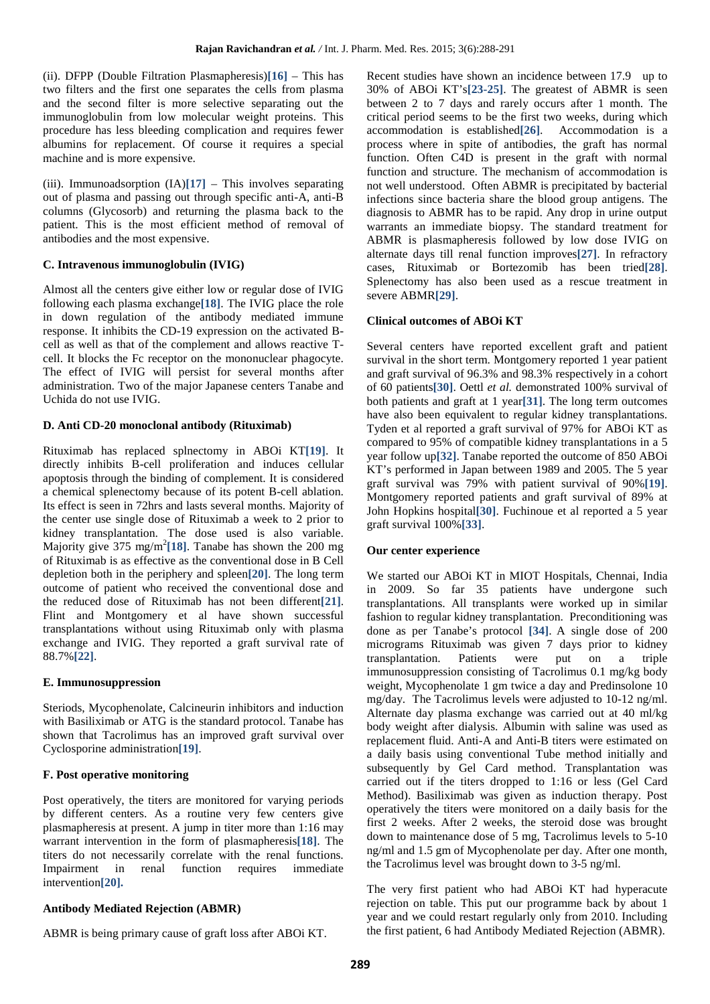(ii). DFPP (Double Filtration Plasmapheresis)**[16]** – This has two filters and the first one separates the cells from plasma and the second filter is more selective separating out the immunoglobulin from low molecular weight proteins. This procedure has less bleeding complication and requires fewer albumins for replacement. Of course it requires a special machine and is more expensive.

(iii). Immunoadsorption (IA)**[17]** – This involves separating out of plasma and passing out through specific anti-A, anti-B columns (Glycosorb) and returning the plasma back to the patient. This is the most efficient method of removal of antibodies and the most expensive.

#### **C. Intravenous immunoglobulin (IVIG)**

Almost all the centers give either low or regular dose of IVIG following each plasma exchange**[18]**. The IVIG place the role in down regulation of the antibody mediated immune response. It inhibits the CD-19 expression on the activated Bcell as well as that of the complement and allows reactive Tcell. It blocks the Fc receptor on the mononuclear phagocyte. The effect of IVIG will persist for several months after administration. Two of the major Japanese centers Tanabe and Uchida do not use IVIG.

# **D. Anti CD-20 monoclonal antibody (Rituximab)**

Rituximab has replaced splnectomy in ABOi KT**[19]**. It directly inhibits B-cell proliferation and induces cellular apoptosis through the binding of complement. It is considered a chemical splenectomy because of its potent B-cell ablation. Its effect is seen in 72hrs and lasts several months. Majority of the center use single dose of Rituximab a week to 2 prior to kidney transplantation. The dose used is also variable. Majority give 375 mg/m<sup>2</sup>[18]. Tanabe has shown the 200 mg of Rituximab is as effective as the conventional dose in B Cell depletion both in the periphery and spleen**[20]**. The long term outcome of patient who received the conventional dose and the reduced dose of Rituximab has not been different**[21]**. Flint and Montgomery et al have shown successful transplantations without using Rituximab only with plasma exchange and IVIG. They reported a graft survival rate of 88.7%**[22]**.

#### **E. Immunosuppression**

Steriods, Mycophenolate, Calcineurin inhibitors and induction with Basiliximab or ATG is the standard protocol. Tanabe has shown that Tacrolimus has an improved graft survival over Cyclosporine administration**[19]**.

#### **F. Post operative monitoring**

Post operatively, the titers are monitored for varying periods by different centers. As a routine very few centers give plasmapheresis at present. A jump in titer more than 1:16 may warrant intervention in the form of plasmapheresis**[18]**. The titers do not necessarily correlate with the renal functions. Impairment in renal function requires immediate intervention**[20].**

## **Antibody Mediated Rejection (ABMR)**

ABMR is being primary cause of graft loss after ABOi KT.

Recent studies have shown an incidence between 17.9 up to 30% of ABOi KT's**[23-25]**. The greatest of ABMR is seen between 2 to 7 days and rarely occurs after 1 month. The critical period seems to be the first two weeks, during which accommodation is established**[26]**. Accommodation is a process where in spite of antibodies, the graft has normal function. Often C4D is present in the graft with normal function and structure. The mechanism of accommodation is not well understood. Often ABMR is precipitated by bacterial infections since bacteria share the blood group antigens. The diagnosis to ABMR has to be rapid. Any drop in urine output warrants an immediate biopsy. The standard treatment for ABMR is plasmapheresis followed by low dose IVIG on alternate days till renal function improves**[27]**. In refractory cases, Rituximab or Bortezomib has been tried**[28]**. Splenectomy has also been used as a rescue treatment in severe ABMR**[29]**.

# **Clinical outcomes of ABOi KT**

Several centers have reported excellent graft and patient survival in the short term. Montgomery reported 1 year patient and graft survival of 96.3% and 98.3% respectively in a cohort of 60 patients**[30]**. Oettl *et al.* demonstrated 100% survival of both patients and graft at 1 year**[31]**. The long term outcomes have also been equivalent to regular kidney transplantations. Tyden et al reported a graft survival of 97% for ABOi KT as compared to 95% of compatible kidney transplantations in a 5 year follow up**[32]**. Tanabe reported the outcome of 850 ABOi KT's performed in Japan between 1989 and 2005. The 5 year graft survival was 79% with patient survival of 90%**[19]**. Montgomery reported patients and graft survival of 89% at John Hopkins hospital**[30]**. Fuchinoue et al reported a 5 year graft survival 100%**[33]**.

#### **Our center experience**

We started our ABOi KT in MIOT Hospitals, Chennai, India in 2009. So far 35 patients have undergone such transplantations. All transplants were worked up in similar fashion to regular kidney transplantation. Preconditioning was done as per Tanabe's protocol **[34]**. A single dose of 200 micrograms Rituximab was given 7 days prior to kidney transplantation. Patients were put on a triple immunosuppression consisting of Tacrolimus 0.1 mg/kg body weight, Mycophenolate 1 gm twice a day and Predinsolone 10 mg/day. The Tacrolimus levels were adjusted to 10-12 ng/ml. Alternate day plasma exchange was carried out at 40 ml/kg body weight after dialysis. Albumin with saline was used as replacement fluid. Anti-A and Anti-B titers were estimated on a daily basis using conventional Tube method initially and subsequently by Gel Card method. Transplantation was carried out if the titers dropped to 1:16 or less (Gel Card Method). Basiliximab was given as induction therapy. Post operatively the titers were monitored on a daily basis for the first 2 weeks. After 2 weeks, the steroid dose was brought down to maintenance dose of 5 mg, Tacrolimus levels to 5-10 ng/ml and 1.5 gm of Mycophenolate per day. After one month, the Tacrolimus level was brought down to 3-5 ng/ml.

The very first patient who had ABOi KT had hyperacute rejection on table. This put our programme back by about 1 year and we could restart regularly only from 2010. Including the first patient, 6 had Antibody Mediated Rejection (ABMR).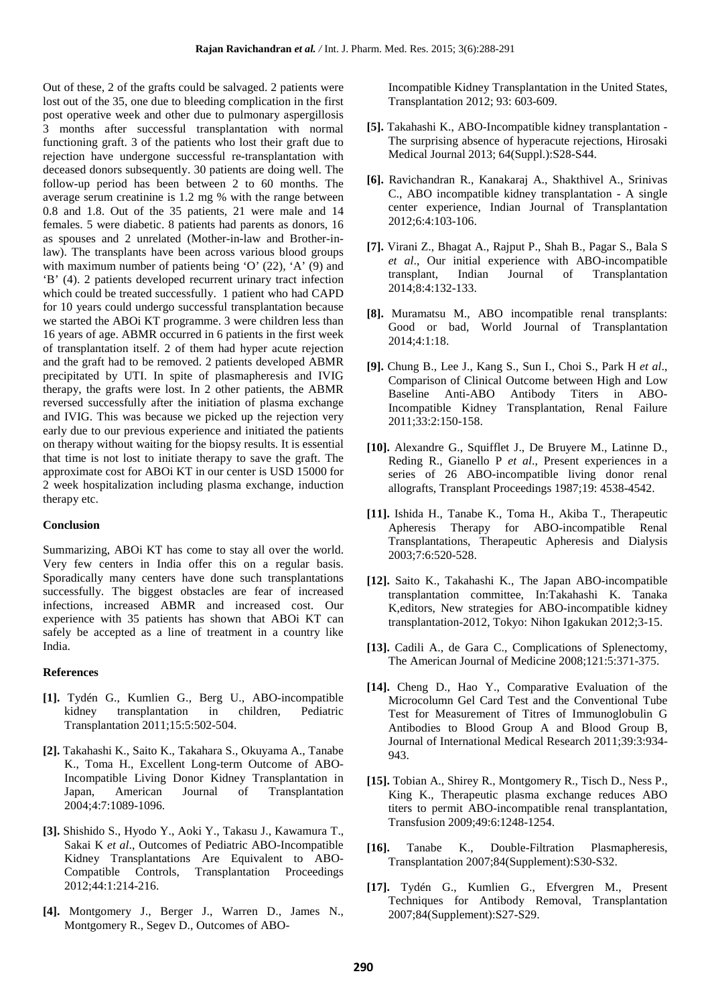Out of these, 2 of the grafts could be salvaged. 2 patients were lost out of the 35, one due to bleeding complication in the first post operative week and other due to pulmonary aspergillosis 3 months after successful transplantation with normal functioning graft. 3 of the patients who lost their graft due to rejection have undergone successful re-transplantation with deceased donors subsequently. 30 patients are doing well. The follow-up period has been between 2 to 60 months. The average serum creatinine is 1.2 mg % with the range between 0.8 and 1.8. Out of the 35 patients, 21 were male and 14 females. 5 were diabetic. 8 patients had parents as donors, 16 as spouses and 2 unrelated (Mother-in-law and Brother-inlaw). The transplants have been across various blood groups with maximum number of patients being 'O' (22), 'A' (9) and 'B' (4). 2 patients developed recurrent urinary tract infection which could be treated successfully. 1 patient who had CAPD for 10 years could undergo successful transplantation because we started the ABOi KT programme. 3 were children less than 16 years of age. ABMR occurred in 6 patients in the first week of transplantation itself. 2 of them had hyper acute rejection and the graft had to be removed. 2 patients developed ABMR precipitated by UTI. In spite of plasmapheresis and IVIG therapy, the grafts were lost. In 2 other patients, the ABMR reversed successfully after the initiation of plasma exchange and IVIG. This was because we picked up the rejection very early due to our previous experience and initiated the patients on therapy without waiting for the biopsy results. It is essential that time is not lost to initiate therapy to save the graft. The approximate cost for ABOi KT in our center is USD 15000 for 2 week hospitalization including plasma exchange, induction therapy etc.

#### **Conclusion**

Summarizing, ABOi KT has come to stay all over the world. Very few centers in India offer this on a regular basis. Sporadically many centers have done such transplantations successfully. The biggest obstacles are fear of increased infections, increased ABMR and increased cost. Our experience with 35 patients has shown that ABOi KT can safely be accepted as a line of treatment in a country like India.

#### **References**

- **[1].** Tydén G., Kumlien G., Berg U., ABO-incompatible kidney transplantation in children, Pediatric Transplantation 2011;15:5:502-504.
- **[2].** Takahashi K., Saito K., Takahara S., Okuyama A., Tanabe K., Toma H., Excellent Long-term Outcome of ABO-Incompatible Living Donor Kidney Transplantation in Japan, American Journal of Transplantation 2004;4:7:1089-1096.
- **[3].** Shishido S., Hyodo Y., Aoki Y., Takasu J., Kawamura T., Sakai K *et al*., Outcomes of Pediatric ABO-Incompatible Kidney Transplantations Are Equivalent to ABO-Compatible Controls, Transplantation Proceedings 2012;44:1:214-216.
- **[4].** Montgomery J., Berger J., Warren D., James N., Montgomery R., Segev D., Outcomes of ABO-

Incompatible Kidney Transplantation in the United States, Transplantation 2012; 93: 603-609.

- **[5].** Takahashi K., ABO-Incompatible kidney transplantation The surprising absence of hyperacute rejections, Hirosaki Medical Journal 2013; 64(Suppl.):S28-S44.
- **[6].** Ravichandran R., Kanakaraj A., Shakthivel A., Srinivas C., ABO incompatible kidney transplantation - A single center experience, Indian Journal of Transplantation 2012;6:4:103-106.
- **[7].** Virani Z., Bhagat A., Rajput P., Shah B., Pagar S., Bala S *et al*., Our initial experience with ABO-incompatible transplant, Indian Journal of Transplantation 2014;8:4:132-133.
- **[8].** Muramatsu M., ABO incompatible renal transplants: Good or bad, World Journal of Transplantation 2014;4:1:18.
- **[9].** Chung B., Lee J., Kang S., Sun I., Choi S., Park H *et al*., Comparison of Clinical Outcome between High and Low Baseline Anti-ABO Antibody Titers in ABO-Incompatible Kidney Transplantation, Renal Failure 2011;33:2:150-158.
- **[10].** Alexandre G., Squifflet J., De Bruyere M., Latinne D., Reding R., Gianello P *et al*., Present experiences in a series of 26 ABO-incompatible living donor renal allografts, Transplant Proceedings 1987;19: 4538-4542.
- **[11].** Ishida H., Tanabe K., Toma H., Akiba T., Therapeutic Apheresis Therapy for ABO-incompatible Renal Transplantations, Therapeutic Apheresis and Dialysis 2003;7:6:520-528.
- **[12].** Saito K., Takahashi K., The Japan ABO-incompatible transplantation committee, In:Takahashi K. Tanaka K,editors, New strategies for ABO-incompatible kidney transplantation-2012, Tokyo: Nihon Igakukan 2012;3-15.
- **[13].** Cadili A., de Gara C., Complications of Splenectomy, The American Journal of Medicine 2008;121:5:371-375.
- **[14].** Cheng D., Hao Y., Comparative Evaluation of the Microcolumn Gel Card Test and the Conventional Tube Test for Measurement of Titres of Immunoglobulin G Antibodies to Blood Group A and Blood Group B, Journal of International Medical Research 2011;39:3:934- 943.
- **[15].** Tobian A., Shirey R., Montgomery R., Tisch D., Ness P., King K., Therapeutic plasma exchange reduces ABO titers to permit ABO-incompatible renal transplantation, Transfusion 2009;49:6:1248-1254.
- **[16].** Tanabe K., Double-Filtration Plasmapheresis, Transplantation 2007;84(Supplement):S30-S32.
- **[17].** Tydén G., Kumlien G., Efvergren M., Present Techniques for Antibody Removal, Transplantation 2007;84(Supplement):S27-S29.